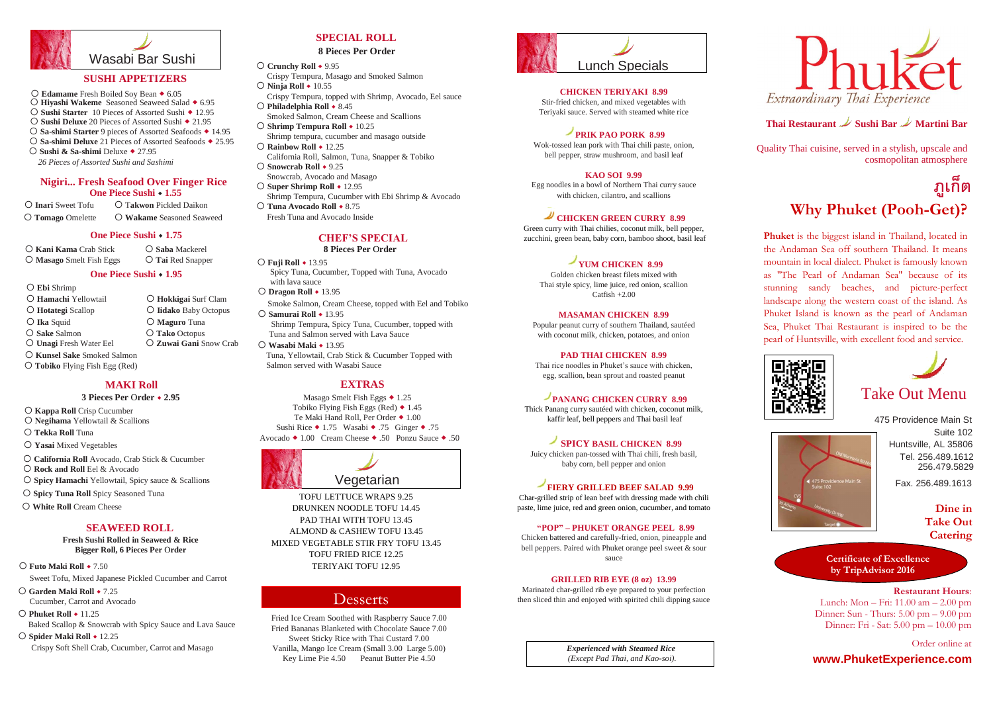## Desserts



### **8 Pieces Per Order**

### **SPECIAL ROLL**



#### **8 Pieces Per** O**rder**



### **MAKI Roll**

### **3 Pieces Per** O**rder 2.95**

### **SEAWEED ROLL**

### **Fresh Sushi Rolled in Seaweed & Rice Bigger Roll, 6 Pieces Per** O**rder**

Fried Ice Cream Soothed with Raspberry Sauce 7.00 Fried Bananas Blanketed with Chocolate Sauce 7.00 Sweet Sticky Rice with Thai Custard 7.00 Vanilla, Mango Ice Cream (Small 3.00 Large 5.00) Key Lime Pie 4.50 Peanut Butter Pie 4.50

### **EXTRAS**

Masago Smelt Fish Eggs  $\triangle$  1.25 Tobiko Flying Fish Eggs (Red)  $\triangle$  1.45 Te Maki Hand Roll, Per Order ◆ 1.00 Sushi Rice  $\triangle$  1.75 Wasabi  $\triangle$  .75 Ginger  $\triangle$  .75 Avocado ◆ 1.00 Cream Cheese ◆ .50 Ponzu Sauce ◆ .50

> *Experienced with Steamed Rice (Except Pad Thai, and Kao-soi).*



## **Thai Restaurant Sushi Bar Martini Bar**

Quality Thai cuisine, served in a stylish, upscale and cosmopolitan atmosphere

> Huntsville, AL 35806 Suite 102 475 Providence Main St Tel. 256.489.1612 256.479.5829

> > Fax. 256.489.1613

**www.PhuketExperience.com**

*26 Pieces of Assorted Sushi and Sashimi* 

**Dine in Take Out Catering**

### **CHICKEN TERIYAKI 8.99**

Stir-fried chicken, and mixed vegetables with Teriyaki sauce. Served with steamed white rice

### **PRIK PAO PORK 8.99**

Wok-tossed lean pork with Thai chili paste, onion, bell pepper, straw mushroom, and basil leaf

### **KAO SOI 9.99**

Egg noodles in a bowl of Northern Thai curry sauce with chicken, cilantro, and scallions

## **CHICKEN GREEN CURRY 8.99**

Green curry with Thai chilies, coconut milk, bell pepper, zucchini, green bean, baby corn, bamboo shoot, basil leaf

## **YUM CHICKEN 8.99**

- Sweet Tofu, Mixed Japanese Pickled Cucumber and Carrot **Futo Maki Roll** 7.50
- Cucumber, Carrot and Avocado **C** Garden Maki Roll ◆ 7.25
- **Phuket Roll ◆ 11.25**
- Baked Scallop & Snowcrab with Spicy Sauce and Lava Sauce
- Crispy Soft Shell Crab, Cucumber, Carrot and Masago **O Spider Maki Roll ◆ 12.25**

Golden chicken breast filets mixed with Thai style spicy, lime juice, red onion, scallion Catfish +2.00

### **MASAMAN CHICKEN 8.99**

Popular peanut curry of southern Thailand, sautéed with coconut milk, chicken, potatoes, and onion

### **PAD THAI CHICKEN 8.99**

Thai rice noodles in Phuket's sauce with chicken, egg, scallion, bean sprout and roasted peanut

### **PANANG CHICKEN CURRY 8.99**

 **Masago** Smelt Fish Eggs **Tai** Red Snapper **C** Kani Kama Crab Stick **C** Saba Mackerel

### **One Piece Sushi**  $\cdot$  **1.95**

Thick Panang curry sautéed with chicken, coconut milk, kaffir leaf, bell peppers and Thai basil leaf

### **One Piece Sushi • 1.55 Nigiri... Fresh Seafood Over Finger Rice**

 **Crunchy Roll** 9.95 Crispy Tempura, Masago and Smoked Salmon **O** Ninja **Roll**  $\cdot$  10.55 Crispy Tempura, topped with Shrimp, Avocado, Eel sauce O Philadelphia Roll  $\div$  8.45 Smoked Salmon, Cream Cheese and Scallions **○ Shrimp Tempura Roll**  $\cdot$  10.25 Shrimp tempura, cucumber and masago outside ○ Rainbow Roll **+** 12.25 California Roll, Salmon, Tuna, Snapper & Tobiko ○ Snowcrab Roll  $\div$  9.25 Snowcrab, Avocado and Masago ○ Super Shrimp Roll  $\cdot$  12.95

### **SPICY BASIL CHICKEN 8.99**

Juicy chicken pan-tossed with Thai chili, fresh basil, baby corn, bell pepper and onion

### **FIERY GRILLED BEEF SALAD 9.99**

Char-grilled strip of lean beef with dressing made with chili paste, lime juice, red and green onion, cucumber, and tomato

 Shrimp Tempura, Cucumber with Ebi Shrimp & Avocado **O Tuna Avocado Roll ◆ 8.75** 

### **"POP" – PHUKET ORANGE PEEL 8.99**

Chicken battered and carefully-fried, onion, pineapple and bell peppers. Paired with Phuket orange peel sweet & sour sauce

### **GRILLED RIB EYE (8 oz) 13.99**

Marinated char-grilled rib eye prepared to your perfection then sliced thin and enjoyed with spirited chili dipping sauce

**Phuket** is the biggest island in Thailand, located in the Andaman Sea off southern Thailand. It means mountain in local dialect. Phuket is famously known as "The Pearl of Andaman Sea" because of its stunning sandy beaches, and picture-perfect landscape along the western coast of the island. As Phuket Island is known as the pearl of Andaman Sea, Phuket Thai Restaurant is inspired to be the pearl of Huntsville, with excellent food and service.





Spicy Tuna, Cucumber, Topped with Tuna, Avocado with lava sauce **O Fuji Roll** ◆ 13.95 **Dragon Roll** 13.95 Smoke Salmon, Cream Cheese, topped with Eel and Tobiko

- **Kappa Roll** Crisp Cucumber
- **Negihama** Yellowtail & Scallions
- **Tekka Roll** Tuna
- **Yasai** Mixed Vegetables
- **California Roll** Avocado, Crab Stick & Cucumber
- **Rock and Roll** Eel & Avocado
- **Spicy Hamachi** Yellowtail, Spicy sauce & Scallions
- **Spicy Tuna Roll** Spicy Seasoned Tuna
- **White Roll** Cream Cheese
- **Ebi** Shrimp
- **Kunsel Sake** Smoked Salmon **Unagi** Fresh Water Eel **Zuwai Gani** Snow Crab **Sake** Salmon **Tako** Octopus **O** Ika Squid **C** Maguro Tuna **Hotategi** Scallop **Iidako** Baby Octopus **Hamachi** Yellowtail **Hokkigai** Surf Clam
- **Tobiko** Flying Fish Egg (Red)

# **Why Phuket (Pooh-Get)? ภ ู เกต ็**

 **Tomago** Omelette **Wakame** Seasoned Seaweed **Inari** Sweet Tofu T**akwon** Pickled Daikon

### **One Piece Sushi • 1.75 CHEF'S SPECIAL**

Fresh Tuna and Avocado Inside

 **Samurai Roll** 13.95 Shrimp Tempura, Spicy Tuna, Cucumber, topped with Tuna and Salmon served with Lava Sauce

Tuna, Yellowtail, Crab Stick & Cucumber Topped with Salmon served with Wasabi Sauce **Wasabi Maki** 13.95

TOFU LETTUCE WRAPS 9.25 DRUNKEN NOODLE TOFU 14.45 PAD THAI WITH TOFU 13.45 ALMOND & CASHEW TOFU 13.45 MIXED VEGETABLE STIR FRY TOFU 13.45 TOFU FRIED RICE 12.25 TERIYAKI TOFU 12.95

# Take Out Menu

**Restaurant Hours**: Lunch: Mon – Fri: 11.00 am – 2.00 pm Dinner: Sun - Thurs: 5.00 pm – 9.00 pm Dinner: Fri - Sat: 5.00 pm – 10.00 pm

Order online at

**Certificate of Excellence by TripAdvisor 2016**

### **SUSHI APPETIZERS**

**○ Edamame** Fresh Boiled Soy Bean ◆ 6.05

- O Hiyashi Wakeme Seasoned Seaweed Salad  $\triangle$  6.95
- **Sushi Deluxe** 20 Pieces of Assorted Sushi ◆ 21.95 ○ Sushi Starter 10 Pieces of Assorted Sushi ◆ 12.95
- 
- **Sa-shimi Deluxe** 21 Pieces of Assorted Seafoods 25.95 **Sa-shimi Starter** 9 pieces of Assorted Seafoods 14.95
- **O Sushi & Sa-shimi** Deluxe ◆ 27.95